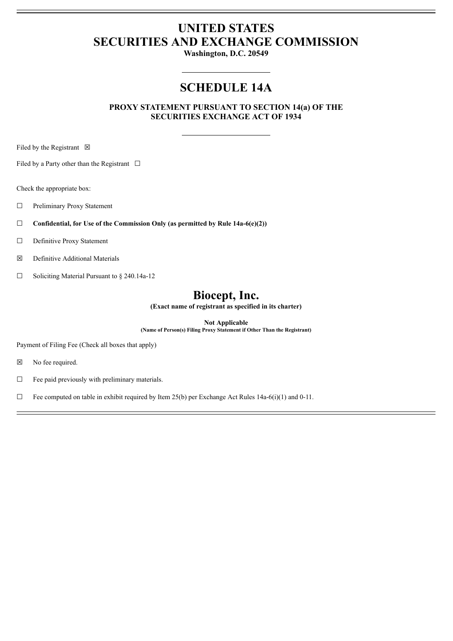# **UNITED STATES SECURITIES AND EXCHANGE COMMISSION**

**Washington, D.C. 20549**

## **SCHEDULE 14A**

**PROXY STATEMENT PURSUANT TO SECTION 14(a) OF THE SECURITIES EXCHANGE ACT OF 1934**

Filed by the Registrant  $\boxtimes$ 

Filed by a Party other than the Registrant  $\Box$ 

Check the appropriate box:

☐ Preliminary Proxy Statement

☐ **Confidential, for Use of the Commission Only (as permitted by Rule 14a-6(e)(2))**

□ Definitive Proxy Statement

☒ Definitive Additional Materials

 $\Box$  Soliciting Material Pursuant to § 240.14a-12

## **Biocept, Inc.**

**(Exact name of registrant as specified in its charter)**

**Not Applicable**

**(Name of Person(s) Filing Proxy Statement if Other Than the Registrant)**

Payment of Filing Fee (Check all boxes that apply)

☒ No fee required.

 $\Box$  Fee paid previously with preliminary materials.

 $\Box$  Fee computed on table in exhibit required by Item 25(b) per Exchange Act Rules 14a-6(i)(1) and 0-11.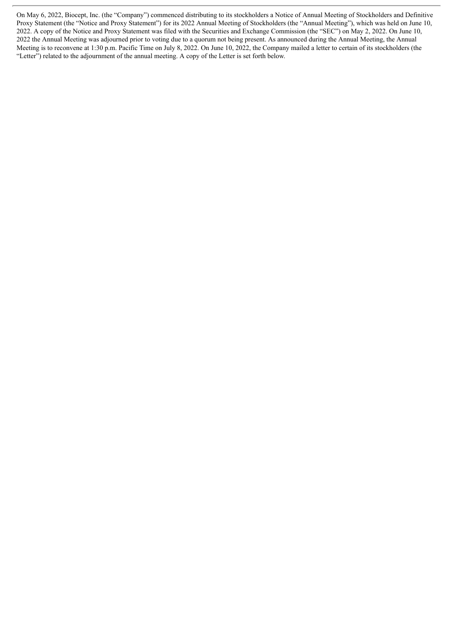On May 6, 2022, Biocept, Inc. (the "Company") commenced distributing to its stockholders a Notice of Annual Meeting of Stockholders and Definitive Proxy Statement (the "Notice and Proxy Statement") for its 2022 Annual Meeting of Stockholders (the "Annual Meeting"), which was held on June 10, 2022. A copy of the Notice and Proxy Statement was filed with the Securities and Exchange Commission (the "SEC") on May 2, 2022. On June 10, 2022 the Annual Meeting was adjourned prior to voting due to a quorum not being present. As announced during the Annual Meeting, the Annual Meeting is to reconvene at 1:30 p.m. Pacific Time on July 8, 2022. On June 10, 2022, the Company mailed a letter to certain of its stockholders (the "Letter") related to the adjournment of the annual meeting. A copy of the Letter is set forth below.